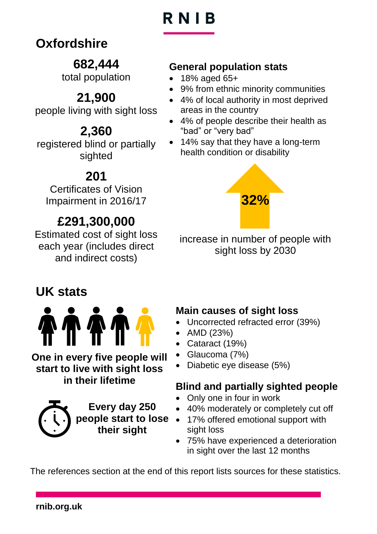# RNIB

# **Oxfordshire**

# **682,444**

total population

# **21,900**

people living with sight loss

# **2,360**

registered blind or partially sighted

# **201**

Certificates of Vision Impairment in 2016/17

# **£291,300,000**

Estimated cost of sight loss each year (includes direct and indirect costs)

# **UK stats**



**One in every five people will start to live with sight loss in their lifetime**



**Every day 250 people start to lose their sight**

# **General population stats**

- 18% aged 65+
- 9% from ethnic minority communities
- 4% of local authority in most deprived areas in the country
- 4% of people describe their health as "bad" or "very bad"
- 14% say that they have a long-term health condition or disability



increase in number of people with sight loss by 2030

## **Main causes of sight loss**

- Uncorrected refracted error (39%)
- AMD (23%)
- Cataract (19%)
- Glaucoma (7%)
- Diabetic eye disease (5%)

## **Blind and partially sighted people**

- Only one in four in work
- 40% moderately or completely cut off
- 17% offered emotional support with sight loss
- 75% have experienced a deterioration in sight over the last 12 months

The references section at the end of this report lists sources for these statistics.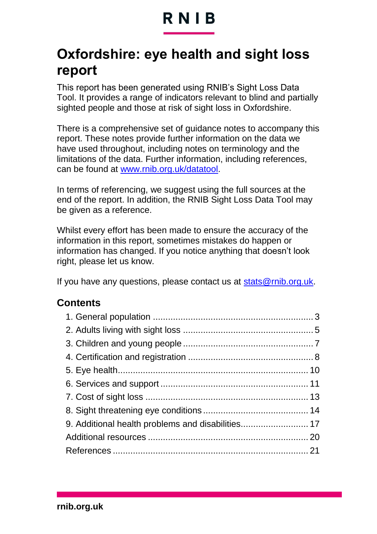# RNIB

# **Oxfordshire: eye health and sight loss report**

This report has been generated using RNIB's Sight Loss Data Tool. It provides a range of indicators relevant to blind and partially sighted people and those at risk of sight loss in Oxfordshire.

There is a comprehensive set of guidance notes to accompany this report. These notes provide further information on the data we have used throughout, including notes on terminology and the limitations of the data. Further information, including references, can be found at [www.rnib.org.uk/datatool.](http://www.rnib.org.uk/datatool)

In terms of referencing, we suggest using the full sources at the end of the report. In addition, the RNIB Sight Loss Data Tool may be given as a reference.

Whilst every effort has been made to ensure the accuracy of the information in this report, sometimes mistakes do happen or information has changed. If you notice anything that doesn't look right, please let us know.

If you have any questions, please contact us at [stats@rnib.org.uk.](mailto:research@rnib.org.uk)

#### **Contents**

| 9. Additional health problems and disabilities 17 |  |
|---------------------------------------------------|--|
|                                                   |  |
|                                                   |  |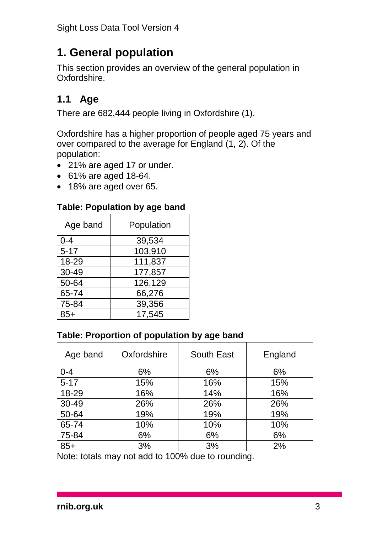# <span id="page-2-0"></span>**1. General population**

This section provides an overview of the general population in Oxfordshire.

## **1.1 Age**

There are 682,444 people living in Oxfordshire (1).

Oxfordshire has a higher proportion of people aged 75 years and over compared to the average for England (1, 2). Of the population:

- 21% are aged 17 or under.
- 61% are aged 18-64.
- 18% are aged over 65.

#### **Table: Population by age band**

| Age band | Population |
|----------|------------|
| $0 - 4$  | 39,534     |
| $5 - 17$ | 103,910    |
| 18-29    | 111,837    |
| 30-49    | 177,857    |
| 50-64    | 126,129    |
| 65-74    | 66,276     |
| 75-84    | 39,356     |
| $85+$    | 17,545     |

#### **Table: Proportion of population by age band**

| Age band | Oxfordshire | <b>South East</b> | England |
|----------|-------------|-------------------|---------|
| $0 - 4$  | 6%          | 6%                | 6%      |
| $5 - 17$ | 15%         | 16%               | 15%     |
| 18-29    | 16%         | 14%               | 16%     |
| 30-49    | 26%         | 26%               | 26%     |
| 50-64    | 19%         | 19%               | 19%     |
| 65-74    | 10%         | 10%               | 10%     |
| 75-84    | 6%          | 6%                | 6%      |
| $85+$    | 3%          | 3%                | 2%      |

Note: totals may not add to 100% due to rounding.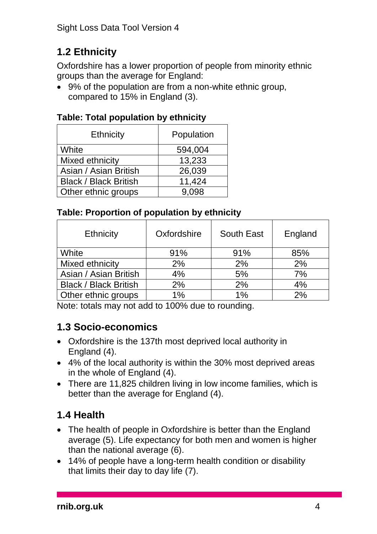## **1.2 Ethnicity**

Oxfordshire has a lower proportion of people from minority ethnic groups than the average for England:

• 9% of the population are from a non-white ethnic group. compared to 15% in England (3).

|  |  | <b>Table: Total population by ethnicity</b> |
|--|--|---------------------------------------------|
|  |  |                                             |

| <b>Ethnicity</b>             | Population |  |
|------------------------------|------------|--|
| White                        | 594,004    |  |
| Mixed ethnicity              | 13,233     |  |
| Asian / Asian British        | 26,039     |  |
| <b>Black / Black British</b> | 11,424     |  |
| Other ethnic groups          | 9.098      |  |

#### **Table: Proportion of population by ethnicity**

| <b>Ethnicity</b>             | Oxfordshire | <b>South East</b> | England |
|------------------------------|-------------|-------------------|---------|
| White                        | 91%         | 91%               | 85%     |
| Mixed ethnicity              | 2%          | 2%                | 2%      |
| Asian / Asian British        | 4%          | 5%                | 7%      |
| <b>Black / Black British</b> | 2%          | 2%                | 4%      |
| Other ethnic groups          | 1%          | 1%                | 2%      |

Note: totals may not add to 100% due to rounding.

## **1.3 Socio-economics**

- Oxfordshire is the 137th most deprived local authority in England (4).
- 4% of the local authority is within the 30% most deprived areas in the whole of England (4).
- There are 11,825 children living in low income families, which is better than the average for England (4).

## **1.4 Health**

- The health of people in Oxfordshire is better than the England average (5). Life expectancy for both men and women is higher than the national average (6).
- 14% of people have a long-term health condition or disability that limits their day to day life (7).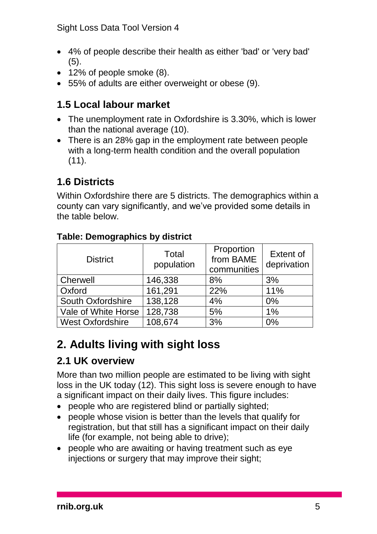- 4% of people describe their health as either 'bad' or 'very bad' (5).
- 12% of people smoke (8).
- 55% of adults are either overweight or obese (9).

#### **1.5 Local labour market**

- The unemployment rate in Oxfordshire is 3.30%, which is lower than the national average (10).
- There is an 28% gap in the employment rate between people with a long-term health condition and the overall population (11).

## **1.6 Districts**

Within Oxfordshire there are 5 districts. The demographics within a county can vary significantly, and we've provided some details in the table below.

| <b>District</b>         | Total<br>population | Proportion<br>from BAME<br>communities | Extent of<br>deprivation |
|-------------------------|---------------------|----------------------------------------|--------------------------|
| Cherwell                | 146,338             | 8%                                     | 3%                       |
| Oxford                  | 161,291             | 22%                                    | 11%                      |
| South Oxfordshire       | 138,128             | 4%                                     | $0\%$                    |
| Vale of White Horse     | 128,738             | 5%                                     | $1\%$                    |
| <b>West Oxfordshire</b> | 108,674             | 3%                                     | 0%                       |

#### **Table: Demographics by district**

## <span id="page-4-0"></span>**2. Adults living with sight loss**

### **2.1 UK overview**

More than two million people are estimated to be living with sight loss in the UK today (12). This sight loss is severe enough to have a significant impact on their daily lives. This figure includes:

- people who are registered blind or partially sighted:
- people whose vision is better than the levels that qualify for registration, but that still has a significant impact on their daily life (for example, not being able to drive);
- people who are awaiting or having treatment such as eye injections or surgery that may improve their sight;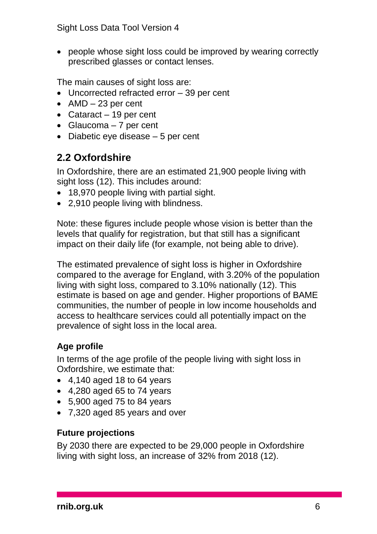• people whose sight loss could be improved by wearing correctly prescribed glasses or contact lenses.

The main causes of sight loss are:

- Uncorrected refracted error 39 per cent
- AMD 23 per cent
- Cataract 19 per cent
- Glaucoma 7 per cent
- Diabetic eye disease 5 per cent

#### **2.2 Oxfordshire**

In Oxfordshire, there are an estimated 21,900 people living with sight loss (12). This includes around:

- 18,970 people living with partial sight.
- 2,910 people living with blindness.

Note: these figures include people whose vision is better than the levels that qualify for registration, but that still has a significant impact on their daily life (for example, not being able to drive).

The estimated prevalence of sight loss is higher in Oxfordshire compared to the average for England, with 3.20% of the population living with sight loss, compared to 3.10% nationally (12). This estimate is based on age and gender. Higher proportions of BAME communities, the number of people in low income households and access to healthcare services could all potentially impact on the prevalence of sight loss in the local area.

#### **Age profile**

In terms of the age profile of the people living with sight loss in Oxfordshire, we estimate that:

- 4,140 aged 18 to 64 years
- 4,280 aged 65 to 74 years
- 5,900 aged 75 to 84 years
- 7,320 aged 85 years and over

#### **Future projections**

By 2030 there are expected to be 29,000 people in Oxfordshire living with sight loss, an increase of 32% from 2018 (12).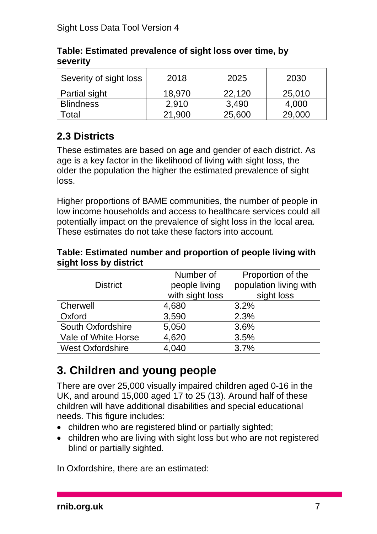| Severity of sight loss | 2018   | 2025   | 2030   |
|------------------------|--------|--------|--------|
| Partial sight          | 18,970 | 22,120 | 25,010 |
| <b>Blindness</b>       | 2,910  | 3,490  | 4,000  |
| <sup>-</sup> otal      | 21,900 | 25,600 | 29,000 |

**Table: Estimated prevalence of sight loss over time, by severity** 

## **2.3 Districts**

These estimates are based on age and gender of each district. As age is a key factor in the likelihood of living with sight loss, the older the population the higher the estimated prevalence of sight loss.

Higher proportions of BAME communities, the number of people in low income households and access to healthcare services could all potentially impact on the prevalence of sight loss in the local area. These estimates do not take these factors into account.

#### **Table: Estimated number and proportion of people living with sight loss by district**

|                          | Number of       | Proportion of the      |
|--------------------------|-----------------|------------------------|
| <b>District</b>          | people living   | population living with |
|                          | with sight loss | sight loss             |
| Cherwell                 | 4,680           | 3.2%                   |
| Oxford                   | 3,590           | 2.3%                   |
| <b>South Oxfordshire</b> | 5,050           | 3.6%                   |
| Vale of White Horse      | 4,620           | 3.5%                   |
| <b>West Oxfordshire</b>  | 4,040           | 3.7%                   |

# <span id="page-6-0"></span>**3. Children and young people**

There are over 25,000 visually impaired children aged 0-16 in the UK, and around 15,000 aged 17 to 25 (13). Around half of these children will have additional disabilities and special educational needs. This figure includes:

- children who are registered blind or partially sighted;
- children who are living with sight loss but who are not registered blind or partially sighted.

In Oxfordshire, there are an estimated: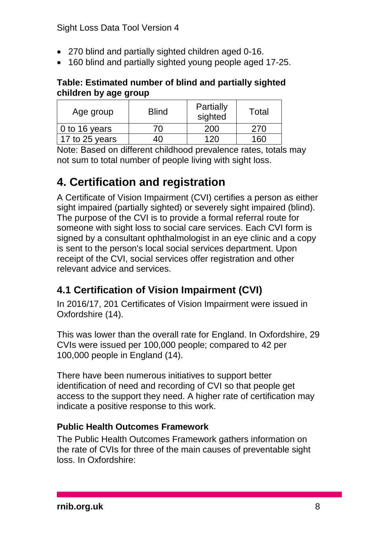- 270 blind and partially sighted children aged 0-16.
- 160 blind and partially sighted young people aged 17-25.

#### **Table: Estimated number of blind and partially sighted children by age group**

| Age group      | <b>Blind</b> | Partially<br>sighted | Total |
|----------------|--------------|----------------------|-------|
| 0 to 16 years  | 70           | 200                  | 270   |
| 17 to 25 years | $+0$         | 12(1)                | 160   |

Note: Based on different childhood prevalence rates, totals may not sum to total number of people living with sight loss.

# <span id="page-7-0"></span>**4. Certification and registration**

A Certificate of Vision Impairment (CVI) certifies a person as either sight impaired (partially sighted) or severely sight impaired (blind). The purpose of the CVI is to provide a formal referral route for someone with sight loss to social care services. Each CVI form is signed by a consultant ophthalmologist in an eye clinic and a copy is sent to the person's local social services department. Upon receipt of the CVI, social services offer registration and other relevant advice and services.

## **4.1 Certification of Vision Impairment (CVI)**

In 2016/17, 201 Certificates of Vision Impairment were issued in Oxfordshire (14).

This was lower than the overall rate for England. In Oxfordshire, 29 CVIs were issued per 100,000 people; compared to 42 per 100,000 people in England (14).

There have been numerous initiatives to support better identification of need and recording of CVI so that people get access to the support they need. A higher rate of certification may indicate a positive response to this work.

#### **Public Health Outcomes Framework**

The Public Health Outcomes Framework gathers information on the rate of CVIs for three of the main causes of preventable sight loss. In Oxfordshire: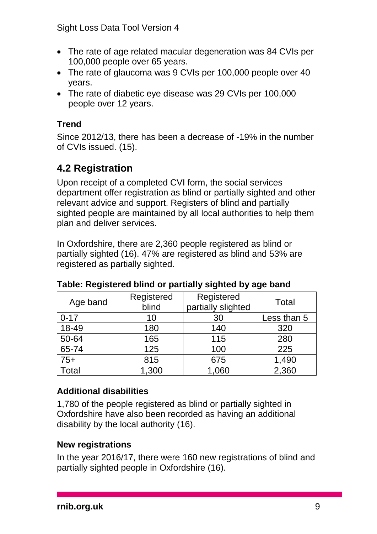- The rate of age related macular degeneration was 84 CVIs per 100,000 people over 65 years.
- The rate of glaucoma was 9 CVIs per 100,000 people over 40 years.
- The rate of diabetic eye disease was 29 CVIs per 100,000 people over 12 years.

#### **Trend**

Since 2012/13, there has been a decrease of -19% in the number of CVIs issued. (15).

### **4.2 Registration**

Upon receipt of a completed CVI form, the social services department offer registration as blind or partially sighted and other relevant advice and support. Registers of blind and partially sighted people are maintained by all local authorities to help them plan and deliver services.

In Oxfordshire, there are 2,360 people registered as blind or partially sighted (16). 47% are registered as blind and 53% are registered as partially sighted.

| Age band | Registered<br>blind | Registered<br>partially slighted | Total       |
|----------|---------------------|----------------------------------|-------------|
| $0 - 17$ | 10                  | 30                               | Less than 5 |
| 18-49    | 180                 | 140                              | 320         |
| 50-64    | 165                 | 115                              | 280         |
| 65-74    | 125                 | 100                              | 225         |
| $75+$    | 815                 | 675                              | 1,490       |
| Гоtal    | 1,300               | 1,060                            | 2,360       |

#### **Table: Registered blind or partially sighted by age band**

#### **Additional disabilities**

1,780 of the people registered as blind or partially sighted in Oxfordshire have also been recorded as having an additional disability by the local authority (16).

#### **New registrations**

In the year 2016/17, there were 160 new registrations of blind and partially sighted people in Oxfordshire (16).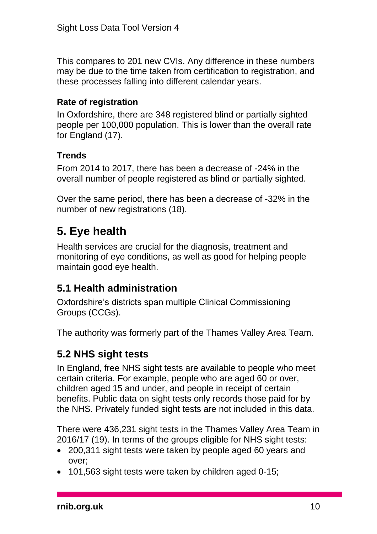This compares to 201 new CVIs. Any difference in these numbers may be due to the time taken from certification to registration, and these processes falling into different calendar years.

#### **Rate of registration**

In Oxfordshire, there are 348 registered blind or partially sighted people per 100,000 population. This is lower than the overall rate for England (17).

#### **Trends**

From 2014 to 2017, there has been a decrease of -24% in the overall number of people registered as blind or partially sighted.

Over the same period, there has been a decrease of -32% in the number of new registrations (18).

# <span id="page-9-0"></span>**5. Eye health**

Health services are crucial for the diagnosis, treatment and monitoring of eye conditions, as well as good for helping people maintain good eye health.

#### **5.1 Health administration**

Oxfordshire's districts span multiple Clinical Commissioning Groups (CCGs).

The authority was formerly part of the Thames Valley Area Team.

### **5.2 NHS sight tests**

In England, free NHS sight tests are available to people who meet certain criteria. For example, people who are aged 60 or over, children aged 15 and under, and people in receipt of certain benefits. Public data on sight tests only records those paid for by the NHS. Privately funded sight tests are not included in this data.

There were 436,231 sight tests in the Thames Valley Area Team in 2016/17 (19). In terms of the groups eligible for NHS sight tests:

- 200,311 sight tests were taken by people aged 60 years and over;
- 101,563 sight tests were taken by children aged 0-15;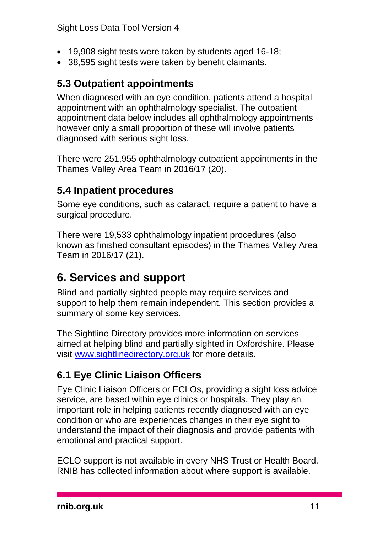- 19,908 sight tests were taken by students aged 16-18;
- 38,595 sight tests were taken by benefit claimants.

### **5.3 Outpatient appointments**

When diagnosed with an eye condition, patients attend a hospital appointment with an ophthalmology specialist. The outpatient appointment data below includes all ophthalmology appointments however only a small proportion of these will involve patients diagnosed with serious sight loss.

There were 251,955 ophthalmology outpatient appointments in the Thames Valley Area Team in 2016/17 (20).

## **5.4 Inpatient procedures**

Some eye conditions, such as cataract, require a patient to have a surgical procedure.

There were 19,533 ophthalmology inpatient procedures (also known as finished consultant episodes) in the Thames Valley Area Team in 2016/17 (21).

# <span id="page-10-0"></span>**6. Services and support**

Blind and partially sighted people may require services and support to help them remain independent. This section provides a summary of some key services.

The Sightline Directory provides more information on services aimed at helping blind and partially sighted in Oxfordshire. Please visit [www.sightlinedirectory.org.uk](http://www.sightlinedirectory.org.uk/) for more details.

## **6.1 Eye Clinic Liaison Officers**

Eye Clinic Liaison Officers or ECLOs, providing a sight loss advice service, are based within eye clinics or hospitals. They play an important role in helping patients recently diagnosed with an eye condition or who are experiences changes in their eye sight to understand the impact of their diagnosis and provide patients with emotional and practical support.

ECLO support is not available in every NHS Trust or Health Board. RNIB has collected information about where support is available.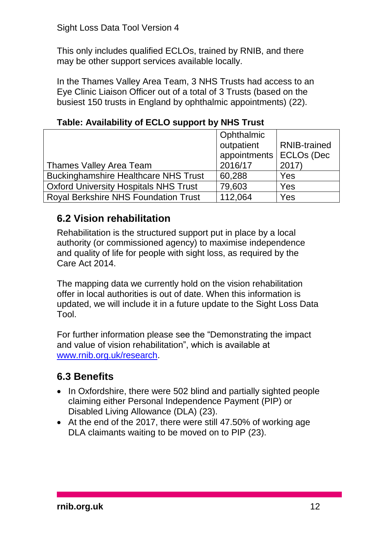This only includes qualified ECLOs, trained by RNIB, and there may be other support services available locally.

In the Thames Valley Area Team, 3 NHS Trusts had access to an Eye Clinic Liaison Officer out of a total of 3 Trusts (based on the busiest 150 trusts in England by ophthalmic appointments) (22).

|                                              | <b>Ophthalmic</b>         |                     |
|----------------------------------------------|---------------------------|---------------------|
|                                              | outpatient                | <b>RNIB-trained</b> |
|                                              | appointments   ECLOs (Dec |                     |
| <b>Thames Valley Area Team</b>               | 2016/17                   | 2017                |
| <b>Buckinghamshire Healthcare NHS Trust</b>  | 60,288                    | Yes                 |
| <b>Oxford University Hospitals NHS Trust</b> | 79,603                    | Yes                 |
| <b>Royal Berkshire NHS Foundation Trust</b>  | 112,064                   | Yes                 |

**Table: Availability of ECLO support by NHS Trust**

### **6.2 Vision rehabilitation**

Rehabilitation is the structured support put in place by a local authority (or commissioned agency) to maximise independence and quality of life for people with sight loss, as required by the Care Act 2014.

The mapping data we currently hold on the vision rehabilitation offer in local authorities is out of date. When this information is updated, we will include it in a future update to the Sight Loss Data Tool.

For further information please see the "Demonstrating the impact and value of vision rehabilitation", which is available at [www.rnib.org.uk/research.](http://www.rnib.org.uk/research)

## **6.3 Benefits**

- In Oxfordshire, there were 502 blind and partially sighted people claiming either Personal Independence Payment (PIP) or Disabled Living Allowance (DLA) (23).
- At the end of the 2017, there were still 47.50% of working age DLA claimants waiting to be moved on to PIP (23).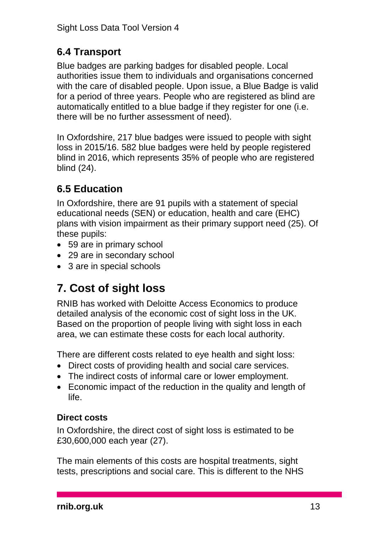## **6.4 Transport**

Blue badges are parking badges for disabled people. Local authorities issue them to individuals and organisations concerned with the care of disabled people. Upon issue, a Blue Badge is valid for a period of three years. People who are registered as blind are automatically entitled to a blue badge if they register for one (i.e. there will be no further assessment of need).

In Oxfordshire, 217 blue badges were issued to people with sight loss in 2015/16. 582 blue badges were held by people registered blind in 2016, which represents 35% of people who are registered blind (24).

## **6.5 Education**

In Oxfordshire, there are 91 pupils with a statement of special educational needs (SEN) or education, health and care (EHC) plans with vision impairment as their primary support need (25). Of these pupils:

- 59 are in primary school
- 29 are in secondary school
- 3 are in special schools

# <span id="page-12-0"></span>**7. Cost of sight loss**

RNIB has worked with Deloitte Access Economics to produce detailed analysis of the economic cost of sight loss in the UK. Based on the proportion of people living with sight loss in each area, we can estimate these costs for each local authority.

There are different costs related to eye health and sight loss:

- Direct costs of providing health and social care services.
- The indirect costs of informal care or lower employment.
- Economic impact of the reduction in the quality and length of life.

#### **Direct costs**

In Oxfordshire, the direct cost of sight loss is estimated to be £30,600,000 each year (27).

The main elements of this costs are hospital treatments, sight tests, prescriptions and social care. This is different to the NHS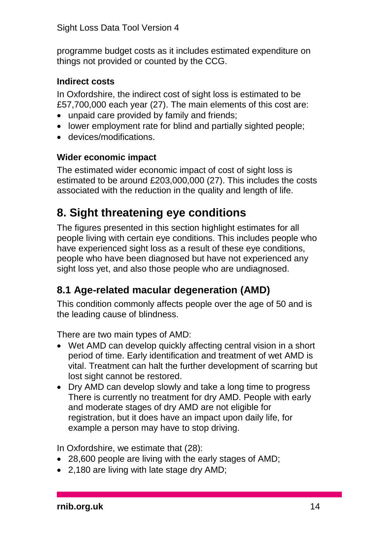programme budget costs as it includes estimated expenditure on things not provided or counted by the CCG.

#### **Indirect costs**

In Oxfordshire, the indirect cost of sight loss is estimated to be £57,700,000 each year (27). The main elements of this cost are:

- unpaid care provided by family and friends;
- lower employment rate for blind and partially sighted people;
- devices/modifications.

#### **Wider economic impact**

The estimated wider economic impact of cost of sight loss is estimated to be around £203,000,000 (27). This includes the costs associated with the reduction in the quality and length of life.

## <span id="page-13-0"></span>**8. Sight threatening eye conditions**

The figures presented in this section highlight estimates for all people living with certain eye conditions. This includes people who have experienced sight loss as a result of these eye conditions, people who have been diagnosed but have not experienced any sight loss yet, and also those people who are undiagnosed.

### **8.1 Age-related macular degeneration (AMD)**

This condition commonly affects people over the age of 50 and is the leading cause of blindness.

There are two main types of AMD:

- Wet AMD can develop quickly affecting central vision in a short period of time. Early identification and treatment of wet AMD is vital. Treatment can halt the further development of scarring but lost sight cannot be restored.
- Dry AMD can develop slowly and take a long time to progress There is currently no treatment for dry AMD. People with early and moderate stages of dry AMD are not eligible for registration, but it does have an impact upon daily life, for example a person may have to stop driving.

In Oxfordshire, we estimate that (28):

- 28,600 people are living with the early stages of AMD;
- 2,180 are living with late stage dry AMD;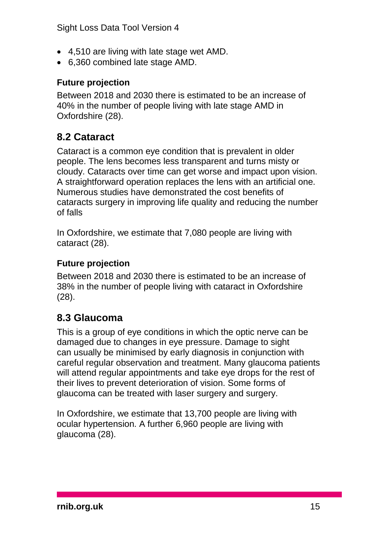- 4,510 are living with late stage wet AMD.
- 6,360 combined late stage AMD.

#### **Future projection**

Between 2018 and 2030 there is estimated to be an increase of 40% in the number of people living with late stage AMD in Oxfordshire (28).

### **8.2 Cataract**

Cataract is a common eye condition that is prevalent in older people. The lens becomes less transparent and turns misty or cloudy. Cataracts over time can get worse and impact upon vision. A straightforward operation replaces the lens with an artificial one. Numerous studies have demonstrated the cost benefits of cataracts surgery in improving life quality and reducing the number of falls

In Oxfordshire, we estimate that 7,080 people are living with cataract (28).

#### **Future projection**

Between 2018 and 2030 there is estimated to be an increase of 38% in the number of people living with cataract in Oxfordshire (28).

#### **8.3 Glaucoma**

This is a group of eye conditions in which the optic nerve can be damaged due to changes in eye pressure. Damage to sight can usually be minimised by early diagnosis in conjunction with careful regular observation and treatment. Many glaucoma patients will attend regular appointments and take eve drops for the rest of their lives to prevent deterioration of vision. Some forms of glaucoma can be treated with laser surgery and surgery.

In Oxfordshire, we estimate that 13,700 people are living with ocular hypertension. A further 6,960 people are living with glaucoma (28).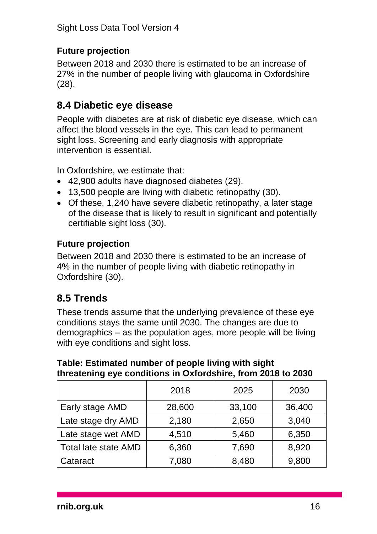#### **Future projection**

Between 2018 and 2030 there is estimated to be an increase of 27% in the number of people living with glaucoma in Oxfordshire (28).

#### **8.4 Diabetic eye disease**

People with diabetes are at risk of diabetic eye disease, which can affect the blood vessels in the eye. This can lead to permanent sight loss. Screening and early diagnosis with appropriate intervention is essential.

In Oxfordshire, we estimate that:

- 42,900 adults have diagnosed diabetes (29).
- 13,500 people are living with diabetic retinopathy (30).
- Of these, 1,240 have severe diabetic retinopathy, a later stage of the disease that is likely to result in significant and potentially certifiable sight loss (30).

#### **Future projection**

Between 2018 and 2030 there is estimated to be an increase of 4% in the number of people living with diabetic retinopathy in Oxfordshire (30).

### **8.5 Trends**

These trends assume that the underlying prevalence of these eye conditions stays the same until 2030. The changes are due to demographics – as the population ages, more people will be living with eye conditions and sight loss.

|                             | 2018   | 2025   | 2030   |
|-----------------------------|--------|--------|--------|
| Early stage AMD             | 28,600 | 33,100 | 36,400 |
| Late stage dry AMD          | 2,180  | 2,650  | 3,040  |
| Late stage wet AMD          | 4,510  | 5,460  | 6,350  |
| <b>Total late state AMD</b> | 6,360  | 7,690  | 8,920  |
| Cataract                    | 7,080  | 8,480  | 9,800  |

#### **Table: Estimated number of people living with sight threatening eye conditions in Oxfordshire, from 2018 to 2030**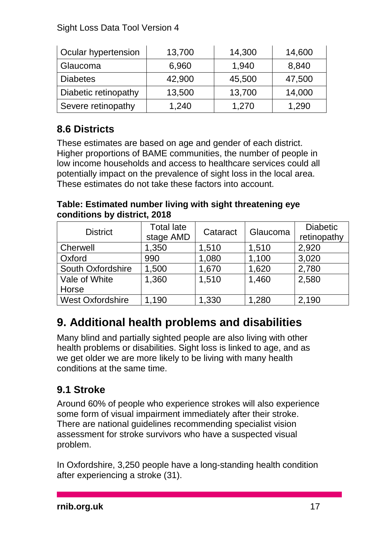| Ocular hypertension  | 13,700 | 14,300         | 14,600 |
|----------------------|--------|----------------|--------|
| Glaucoma             | 6,960  | 1,940<br>8,840 |        |
| <b>Diabetes</b>      | 42,900 | 45,500         | 47,500 |
| Diabetic retinopathy | 13,500 | 13,700         | 14,000 |
| Severe retinopathy   | 1,240  | 1,270          | 1,290  |

## **8.6 Districts**

These estimates are based on age and gender of each district. Higher proportions of BAME communities, the number of people in low income households and access to healthcare services could all potentially impact on the prevalence of sight loss in the local area. These estimates do not take these factors into account.

**Table: Estimated number living with sight threatening eye conditions by district, 2018**

| <b>District</b>         | <b>Total late</b><br>stage AMD | Cataract | Glaucoma | <b>Diabetic</b><br>retinopathy |
|-------------------------|--------------------------------|----------|----------|--------------------------------|
| Cherwell                | 1,350                          | 1,510    | 1,510    | 2,920                          |
| Oxford                  | 990                            | 1,080    | 1,100    | 3,020                          |
| South Oxfordshire       | 1,500                          | 1,670    | 1,620    | 2,780                          |
| Vale of White           | 1,360                          | 1,510    | 1,460    | 2,580                          |
| Horse                   |                                |          |          |                                |
| <b>West Oxfordshire</b> | 1,190                          | 1,330    | 1,280    | 2,190                          |

# <span id="page-16-0"></span>**9. Additional health problems and disabilities**

Many blind and partially sighted people are also living with other health problems or disabilities. Sight loss is linked to age, and as we get older we are more likely to be living with many health conditions at the same time.

## **9.1 Stroke**

Around 60% of people who experience strokes will also experience some form of visual impairment immediately after their stroke. There are national guidelines recommending specialist vision assessment for stroke survivors who have a suspected visual problem.

In Oxfordshire, 3,250 people have a long-standing health condition after experiencing a stroke (31).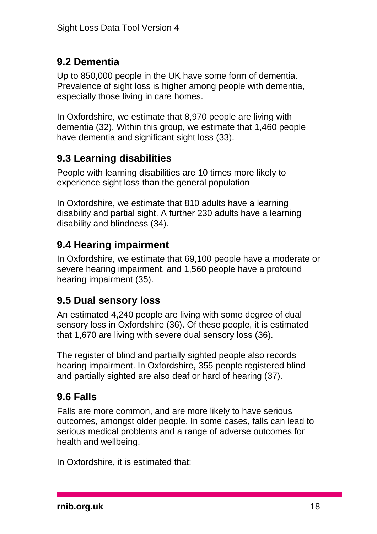## **9.2 Dementia**

Up to 850,000 people in the UK have some form of dementia. Prevalence of sight loss is higher among people with dementia, especially those living in care homes.

In Oxfordshire, we estimate that 8,970 people are living with dementia (32). Within this group, we estimate that 1,460 people have dementia and significant sight loss (33).

## **9.3 Learning disabilities**

People with learning disabilities are 10 times more likely to experience sight loss than the general population

In Oxfordshire, we estimate that 810 adults have a learning disability and partial sight. A further 230 adults have a learning disability and blindness (34).

## **9.4 Hearing impairment**

In Oxfordshire, we estimate that 69,100 people have a moderate or severe hearing impairment, and 1,560 people have a profound hearing impairment (35).

### **9.5 Dual sensory loss**

An estimated 4,240 people are living with some degree of dual sensory loss in Oxfordshire (36). Of these people, it is estimated that 1,670 are living with severe dual sensory loss (36).

The register of blind and partially sighted people also records hearing impairment. In Oxfordshire, 355 people registered blind and partially sighted are also deaf or hard of hearing (37).

## **9.6 Falls**

Falls are more common, and are more likely to have serious outcomes, amongst older people. In some cases, falls can lead to serious medical problems and a range of adverse outcomes for health and wellbeing.

In Oxfordshire, it is estimated that: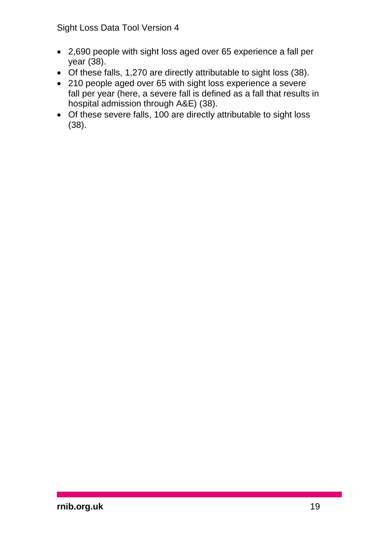- 2,690 people with sight loss aged over 65 experience a fall per year (38).
- Of these falls, 1,270 are directly attributable to sight loss (38).
- 210 people aged over 65 with sight loss experience a severe fall per year (here, a severe fall is defined as a fall that results in hospital admission through A&E) (38).
- Of these severe falls, 100 are directly attributable to sight loss (38).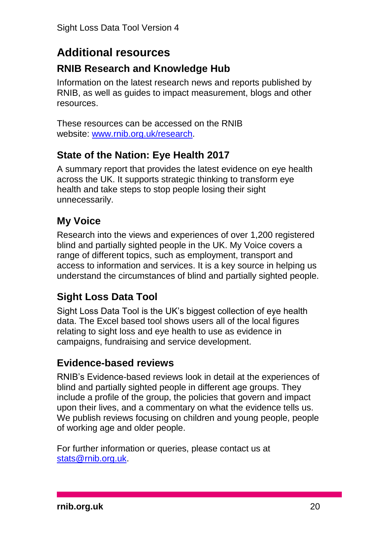# <span id="page-19-0"></span>**Additional resources**

## **RNIB Research and Knowledge Hub**

Information on the latest research news and reports published by RNIB, as well as guides to impact measurement, blogs and other resources.

These resources can be accessed on the RNIB website: [www.rnib.org.uk/research.](http://www.rnib.org.uk/research)

## **State of the Nation: Eye Health 2017**

A summary report that provides the latest evidence on eye health across the UK. It supports strategic thinking to transform eye health and take steps to stop people losing their sight unnecessarily.

## **My Voice**

Research into the views and experiences of over 1,200 registered blind and partially sighted people in the UK. My Voice covers a range of different topics, such as employment, transport and access to information and services. It is a key source in helping us understand the circumstances of blind and partially sighted people.

## **Sight Loss Data Tool**

Sight Loss Data Tool is the UK's biggest collection of eye health data. The Excel based tool shows users all of the local figures relating to sight loss and eye health to use as evidence in campaigns, fundraising and service development.

#### **Evidence-based reviews**

RNIB's Evidence-based reviews look in detail at the experiences of blind and partially sighted people in different age groups. They include a profile of the group, the policies that govern and impact upon their lives, and a commentary on what the evidence tells us. We publish reviews focusing on children and young people, people of working age and older people.

For further information or queries, please contact us at [stats@rnib.org.uk.](mailto:research@rnib.org.uk)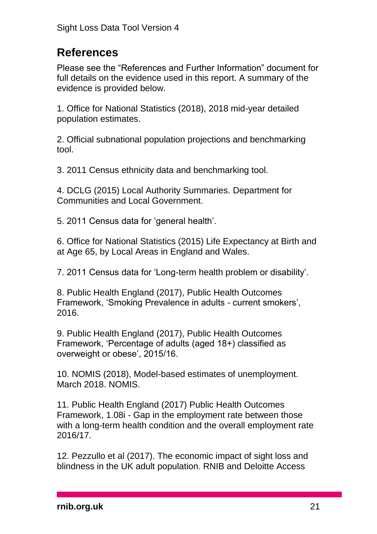# <span id="page-20-0"></span>**References**

Please see the "References and Further Information" document for full details on the evidence used in this report. A summary of the evidence is provided below.

1. Office for National Statistics (2018), 2018 mid-year detailed population estimates.

2. Official subnational population projections and benchmarking tool.

3. 2011 Census ethnicity data and benchmarking tool.

4. DCLG (2015) Local Authority Summaries. Department for Communities and Local Government.

5. 2011 Census data for 'general health'.

6. Office for National Statistics (2015) Life Expectancy at Birth and at Age 65, by Local Areas in England and Wales.

7. 2011 Census data for 'Long-term health problem or disability'.

8. Public Health England (2017), Public Health Outcomes Framework, 'Smoking Prevalence in adults - current smokers', 2016.

9. Public Health England (2017), Public Health Outcomes Framework, 'Percentage of adults (aged 18+) classified as overweight or obese', 2015/16.

10. NOMIS (2018), Model-based estimates of unemployment. March 2018. NOMIS.

11. Public Health England (2017) Public Health Outcomes Framework, 1.08i - Gap in the employment rate between those with a long-term health condition and the overall employment rate 2016/17.

12. Pezzullo et al (2017). The economic impact of sight loss and blindness in the UK adult population. RNIB and Deloitte Access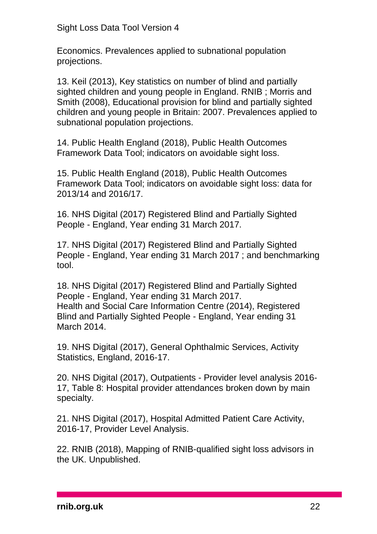Economics. Prevalences applied to subnational population projections.

13. Keil (2013), Key statistics on number of blind and partially sighted children and young people in England. RNIB ; Morris and Smith (2008), Educational provision for blind and partially sighted children and young people in Britain: 2007. Prevalences applied to subnational population projections.

14. Public Health England (2018), Public Health Outcomes Framework Data Tool; indicators on avoidable sight loss.

15. Public Health England (2018), Public Health Outcomes Framework Data Tool; indicators on avoidable sight loss: data for 2013/14 and 2016/17.

16. NHS Digital (2017) Registered Blind and Partially Sighted People - England, Year ending 31 March 2017.

17. NHS Digital (2017) Registered Blind and Partially Sighted People - England, Year ending 31 March 2017 ; and benchmarking tool.

18. NHS Digital (2017) Registered Blind and Partially Sighted People - England, Year ending 31 March 2017. Health and Social Care Information Centre (2014), Registered Blind and Partially Sighted People - England, Year ending 31 March 2014.

19. NHS Digital (2017), General Ophthalmic Services, Activity Statistics, England, 2016-17.

20. NHS Digital (2017), Outpatients - Provider level analysis 2016- 17, Table 8: Hospital provider attendances broken down by main specialty.

21. NHS Digital (2017), Hospital Admitted Patient Care Activity, 2016-17, Provider Level Analysis.

22. RNIB (2018), Mapping of RNIB-qualified sight loss advisors in the UK. Unpublished.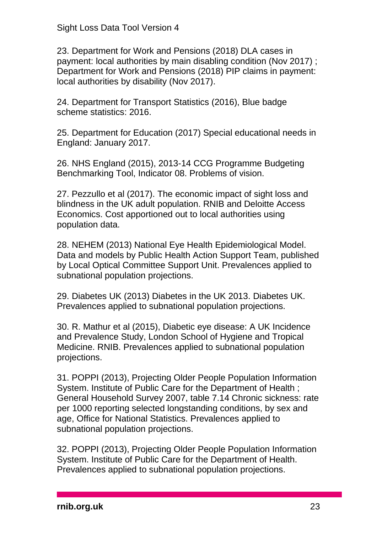23. Department for Work and Pensions (2018) DLA cases in payment: local authorities by main disabling condition (Nov 2017) ; Department for Work and Pensions (2018) PIP claims in payment: local authorities by disability (Nov 2017).

24. Department for Transport Statistics (2016), Blue badge scheme statistics: 2016.

25. Department for Education (2017) Special educational needs in England: January 2017.

26. NHS England (2015), 2013-14 CCG Programme Budgeting Benchmarking Tool, Indicator 08. Problems of vision.

27. Pezzullo et al (2017). The economic impact of sight loss and blindness in the UK adult population. RNIB and Deloitte Access Economics. Cost apportioned out to local authorities using population data.

28. NEHEM (2013) National Eye Health Epidemiological Model. Data and models by Public Health Action Support Team, published by Local Optical Committee Support Unit. Prevalences applied to subnational population projections.

29. Diabetes UK (2013) Diabetes in the UK 2013. Diabetes UK. Prevalences applied to subnational population projections.

30. R. Mathur et al (2015), Diabetic eye disease: A UK Incidence and Prevalence Study, London School of Hygiene and Tropical Medicine. RNIB. Prevalences applied to subnational population projections.

31. POPPI (2013), Projecting Older People Population Information System. Institute of Public Care for the Department of Health ; General Household Survey 2007, table 7.14 Chronic sickness: rate per 1000 reporting selected longstanding conditions, by sex and age, Office for National Statistics. Prevalences applied to subnational population projections.

32. POPPI (2013), Projecting Older People Population Information System. Institute of Public Care for the Department of Health. Prevalences applied to subnational population projections.